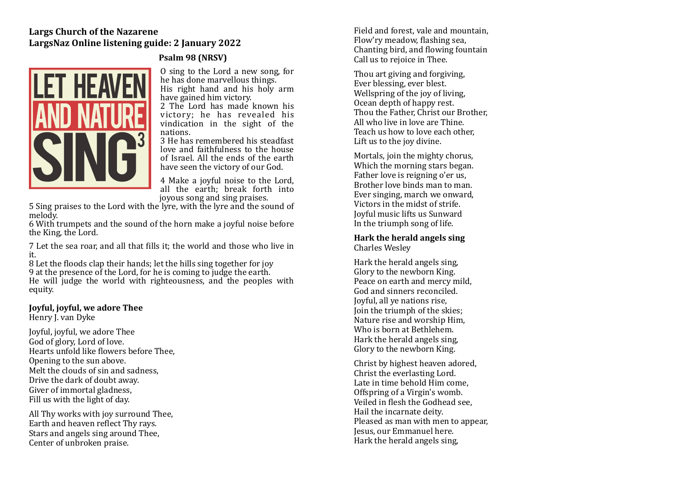# **Largs Church of the Nazarene** LargsNaz Online listening guide: 2 January 2022



# **Psalm 98 (NRSV)**

O sing to the Lord a new song, for he has done marvellous things. His right hand and his holy arm have gained him victory.

2 The Lord has made known his victory; he has revealed his vindication in the sight of the nations. 

3 He has remembered his steadfast love and faithfulness to the house of Israel. All the ends of the earth have seen the victory of our God.

4 Make a joyful noise to the Lord, all the earth; break forth into joyous song and sing praises.

5 Sing praises to the Lord with the lyre, with the lyre and the sound of melody. 

6 With trumpets and the sound of the horn make a joyful noise before the King, the Lord.

7 Let the sea roar, and all that fills it; the world and those who live in it. 

8 Let the floods clap their hands; let the hills sing together for joy 9 at the presence of the Lord, for he is coming to judge the earth. He will judge the world with righteousness, and the peoples with equity. 

## **Joyful, joyful, we adore Thee**

Henry L van Dyke

Joyful, joyful, we adore Thee God of glory, Lord of love. Hearts unfold like flowers before Thee. Opening to the sun above. Melt the clouds of sin and sadness. Drive the dark of doubt away. Giver of immortal gladness. Fill us with the light of day.

All Thy works with joy surround Thee, Earth and heaven reflect Thy rays. Stars and angels sing around Thee. Center of unbroken praise.

Field and forest, vale and mountain Flow'ry meadow, flashing sea. Chanting bird, and flowing fountain Call us to rejoice in Thee.

Thou art giving and forgiving. Ever blessing, ever blest. Wellspring of the joy of living. Ocean depth of happy rest. Thou the Father, Christ our Brother. All who live in love are Thine. Teach us how to love each other Lift us to the joy divine.

Mortals, join the mighty chorus, Which the morning stars began. Father love is reigning o'er us, Brother love binds man to man. Ever singing, march we onward. Victors in the midst of strife. Joyful music lifts us Sunward In the triumph song of life.

#### **Hark the herald angels sing** Charles Wesley

Hark the herald angels sing, Glory to the newborn King. Peace on earth and mercy mild, God and sinners reconciled. Joyful, all ve nations rise. Join the triumph of the skies; Nature rise and worship Him. Who is born at Bethlehem. Hark the herald angels sing. Glory to the newborn King.

Christ by highest heaven adored, Christ the everlasting Lord. Late in time behold Him come, Offspring of a Virgin's womb. Veiled in flesh the Godhead see. Hail the incarnate deity. Pleased as man with men to appear. Jesus, our Emmanuel here. Hark the herald angels sing,